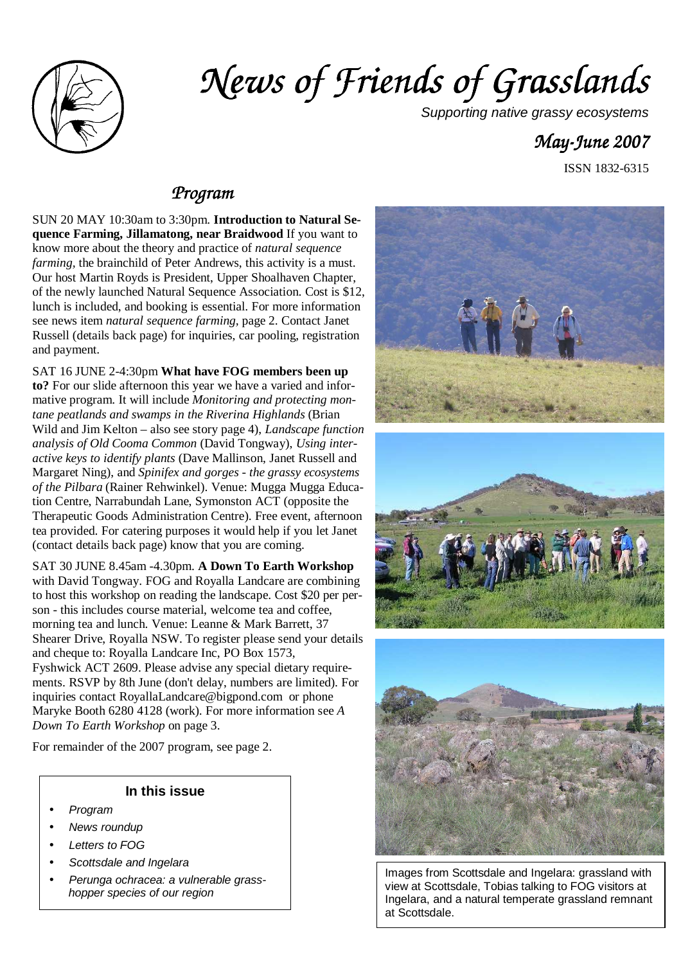

# *News of Friends of Grass News of Grasslands*

Supporting native grassy ecosystems

# *May-June 2007 June 2007*

ISSN 1832-6315

### *Program*

SUN 20 MAY 10:30am to 3:30pm. **Introduction to Natural Sequence Farming, Jillamatong, near Braidwood** If you want to know more about the theory and practice of *natural sequence farming,* the brainchild of Peter Andrews, this activity is a must. Our host Martin Royds is President, Upper Shoalhaven Chapter, of the newly launched Natural Sequence Association. Cost is \$12, lunch is included, and booking is essential. For more information see news item *natural sequence farming,* page 2. Contact Janet Russell (details back page) for inquiries, car pooling, registration and payment.

SAT 16 JUNE 2-4:30pm **What have FOG members been up** 

**to?** For our slide afternoon this year we have a varied and informative program. It will include *Monitoring and protecting montane peatlands and swamps in the Riverina Highlands* (Brian Wild and Jim Kelton – also see story page 4), *Landscape function analysis of Old Cooma Common* (David Tongway), *Using interactive keys to identify plants* (Dave Mallinson, Janet Russell and Margaret Ning), and *Spinifex and gorges - the grassy ecosystems of the Pilbara* (Rainer Rehwinkel). Venue: Mugga Mugga Education Centre, Narrabundah Lane, Symonston ACT (opposite the Therapeutic Goods Administration Centre). Free event, afternoon tea provided. For catering purposes it would help if you let Janet (contact details back page) know that you are coming.

SAT 30 JUNE 8.45am -4.30pm. **A Down To Earth Workshop**  with David Tongway. FOG and Royalla Landcare are combining to host this workshop on reading the landscape. Cost \$20 per person - this includes course material, welcome tea and coffee, morning tea and lunch. Venue: Leanne & Mark Barrett, 37 Shearer Drive, Royalla NSW. To register please send your details and cheque to: Royalla Landcare Inc, PO Box 1573, Fyshwick ACT 2609. Please advise any special dietary requirements. RSVP by 8th June (don't delay, numbers are limited). For inquiries contact RoyallaLandcare@bigpond.com or phone Maryke Booth 6280 4128 (work). For more information see *A Down To Earth Workshop* on page 3.

For remainder of the 2007 program, see page 2.

#### **In this issue**

- Program
- News roundup
- Letters to FOG
- Scottsdale and Ingelara
- Perunga ochracea: a vulnerable grasshopper species of our region



Images from Scottsdale and Ingelara: grassland with view at Scottsdale, Tobias talking to FOG visitors at Ingelara, and a natural temperate grassland remnant at Scottsdale.

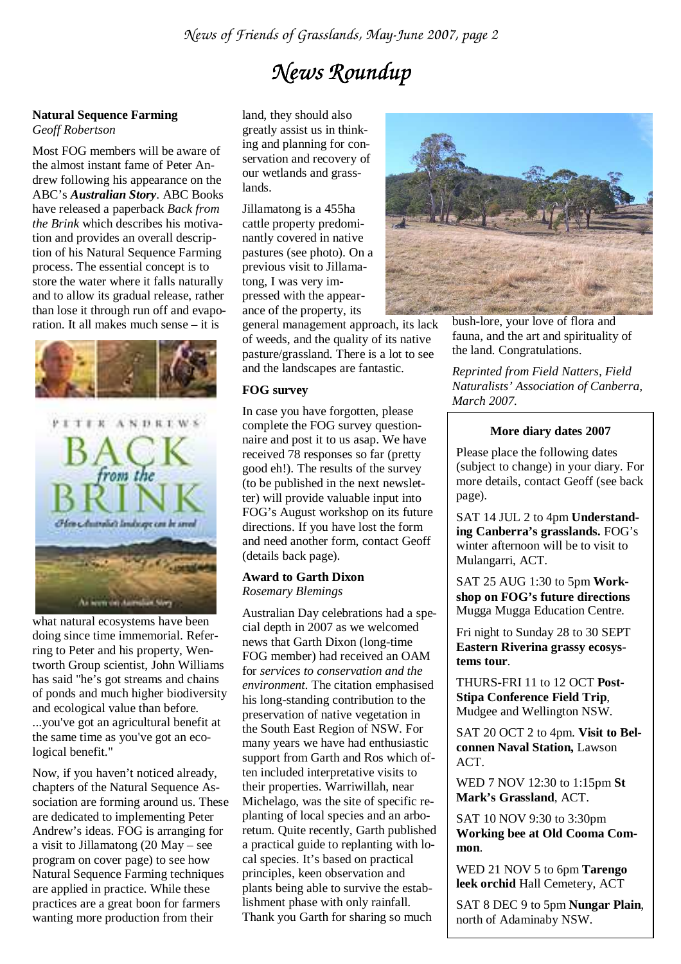# *News Roundup*

#### **Natural Sequence Farming**

*Geoff Robertson*

Most FOG members will be aware of the almost instant fame of Peter Andrew following his appearance on the ABC's *Australian Story*. ABC Books have released a paperback *Back from the Brink* which describes his motivation and provides an overall description of his Natural Sequence Farming process. The essential concept is to store the water where it falls naturally and to allow its gradual release, rather than lose it through run off and evaporation. It all makes much sense – it is



what natural ecosystems have been doing since time immemorial. Referring to Peter and his property, Wentworth Group scientist, John Williams has said "he's got streams and chains of ponds and much higher biodiversity and ecological value than before. ...you've got an agricultural benefit at the same time as you've got an ecological benefit."

Now, if you haven't noticed already, chapters of the Natural Sequence Association are forming around us. These are dedicated to implementing Peter Andrew's ideas. FOG is arranging for a visit to Jillamatong (20 May – see program on cover page) to see how Natural Sequence Farming techniques are applied in practice. While these practices are a great boon for farmers wanting more production from their

land, they should also greatly assist us in thinking and planning for conservation and recovery of our wetlands and grasslands.

Jillamatong is a 455ha cattle property predominantly covered in native pastures (see photo). On a previous visit to Jillamatong, I was very impressed with the appearance of the property, its

general management approach, its lack of weeds, and the quality of its native pasture/grassland. There is a lot to see and the landscapes are fantastic.

#### **FOG survey**

In case you have forgotten, please complete the FOG survey questionnaire and post it to us asap. We have received 78 responses so far (pretty good eh!). The results of the survey (to be published in the next newsletter) will provide valuable input into FOG's August workshop on its future directions. If you have lost the form and need another form, contact Geoff (details back page).

#### **Award to Garth Dixon**  *Rosemary Blemings*

Australian Day celebrations had a special depth in 2007 as we welcomed news that Garth Dixon (long-time FOG member) had received an OAM for *services to conservation and the environment.* The citation emphasised his long-standing contribution to the preservation of native vegetation in the South East Region of NSW. For many years we have had enthusiastic support from Garth and Ros which often included interpretative visits to their properties. Warriwillah, near Michelago, was the site of specific replanting of local species and an arboretum. Quite recently, Garth published a practical guide to replanting with local species. It's based on practical principles, keen observation and plants being able to survive the establishment phase with only rainfall. Thank you Garth for sharing so much



bush-lore, your love of flora and fauna, and the art and spirituality of the land. Congratulations.

*Reprinted from Field Natters, Field Naturalists' Association of Canberra, March 2007.*

#### **More diary dates 2007**

Please place the following dates (subject to change) in your diary. For more details, contact Geoff (see back page).

SAT 14 JUL 2 to 4pm **Understanding Canberra's grasslands.** FOG's winter afternoon will be to visit to Mulangarri, ACT.

SAT 25 AUG 1:30 to 5pm **Workshop on FOG's future directions**  Mugga Mugga Education Centre.

Fri night to Sunday 28 to 30 SEPT **Eastern Riverina grassy ecosystems tour**.

THURS-FRI 11 to 12 OCT **Post-Stipa Conference Field Trip**, Mudgee and Wellington NSW.

SAT 20 OCT 2 to 4pm. **Visit to Belconnen Naval Station,** Lawson ACT.

WED 7 NOV 12:30 to 1:15pm **St Mark's Grassland**, ACT.

SAT 10 NOV 9:30 to 3:30pm **Working bee at Old Cooma Common**.

WED 21 NOV 5 to 6pm **Tarengo leek orchid** Hall Cemetery, ACT

SAT 8 DEC 9 to 5pm **Nungar Plain**, north of Adaminaby NSW.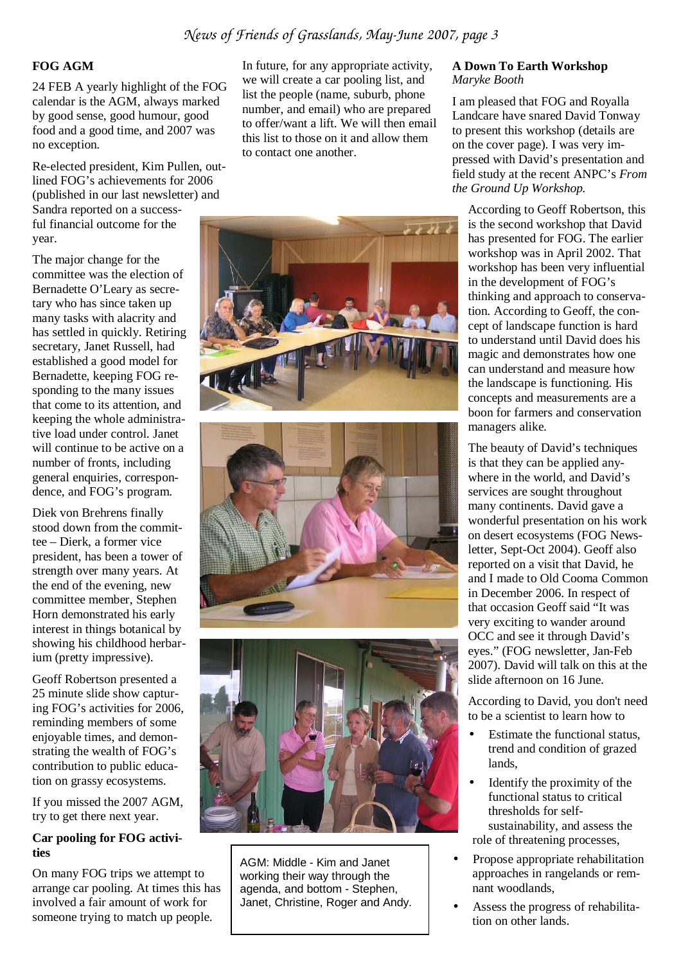#### **FOG AGM**

24 FEB A yearly highlight of the FOG calendar is the AGM, always marked by good sense, good humour, good food and a good time, and 2007 was no exception.

Re-elected president, Kim Pullen, outlined FOG's achievements for 2006 (published in our last newsletter) and Sandra reported on a successful financial outcome for the year.

The major change for the committee was the election of Bernadette O'Leary as secretary who has since taken up many tasks with alacrity and has settled in quickly. Retiring secretary, Janet Russell, had established a good model for Bernadette, keeping FOG responding to the many issues that come to its attention, and keeping the whole administrative load under control. Janet will continue to be active on a number of fronts, including general enquiries, correspondence, and FOG's program.

Diek von Brehrens finally stood down from the committee – Dierk, a former vice president, has been a tower of strength over many years. At the end of the evening, new committee member, Stephen Horn demonstrated his early interest in things botanical by showing his childhood herbarium (pretty impressive).

Geoff Robertson presented a 25 minute slide show capturing FOG's activities for 2006, reminding members of some enjoyable times, and demonstrating the wealth of FOG's contribution to public education on grassy ecosystems.

If you missed the 2007 AGM, try to get there next year.

#### **Car pooling for FOG activities**

On many FOG trips we attempt to arrange car pooling. At times this has involved a fair amount of work for someone trying to match up people.

In future, for any appropriate activity, we will create a car pooling list, and list the people (name, suburb, phone number, and email) who are prepared to offer/want a lift. We will then email this list to those on it and allow them to contact one another.







AGM: Middle - Kim and Janet working their way through the agenda, and bottom - Stephen, Janet, Christine, Roger and Andy.

#### **A Down To Earth Workshop**  *Maryke Booth*

I am pleased that FOG and Royalla Landcare have snared David Tonway to present this workshop (details are on the cover page). I was very impressed with David's presentation and field study at the recent ANPC's *From the Ground Up Workshop.*

According to Geoff Robertson, this is the second workshop that David has presented for FOG. The earlier workshop was in April 2002. That workshop has been very influential in the development of FOG's thinking and approach to conservation. According to Geoff, the concept of landscape function is hard to understand until David does his magic and demonstrates how one can understand and measure how the landscape is functioning. His concepts and measurements are a boon for farmers and conservation managers alike.

The beauty of David's techniques is that they can be applied anywhere in the world, and David's services are sought throughout many continents. David gave a wonderful presentation on his work on desert ecosystems (FOG Newsletter, Sept-Oct 2004). Geoff also reported on a visit that David, he and I made to Old Cooma Common in December 2006. In respect of that occasion Geoff said "It was very exciting to wander around OCC and see it through David's eyes." (FOG newsletter, Jan-Feb 2007). David will talk on this at the slide afternoon on 16 June.

According to David, you don't need to be a scientist to learn how to

- Estimate the functional status, trend and condition of grazed lands,
- Identify the proximity of the functional status to critical thresholds for selfsustainability, and assess the role of threatening processes,
- Propose appropriate rehabilitation approaches in rangelands or remnant woodlands,
- Assess the progress of rehabilitation on other lands.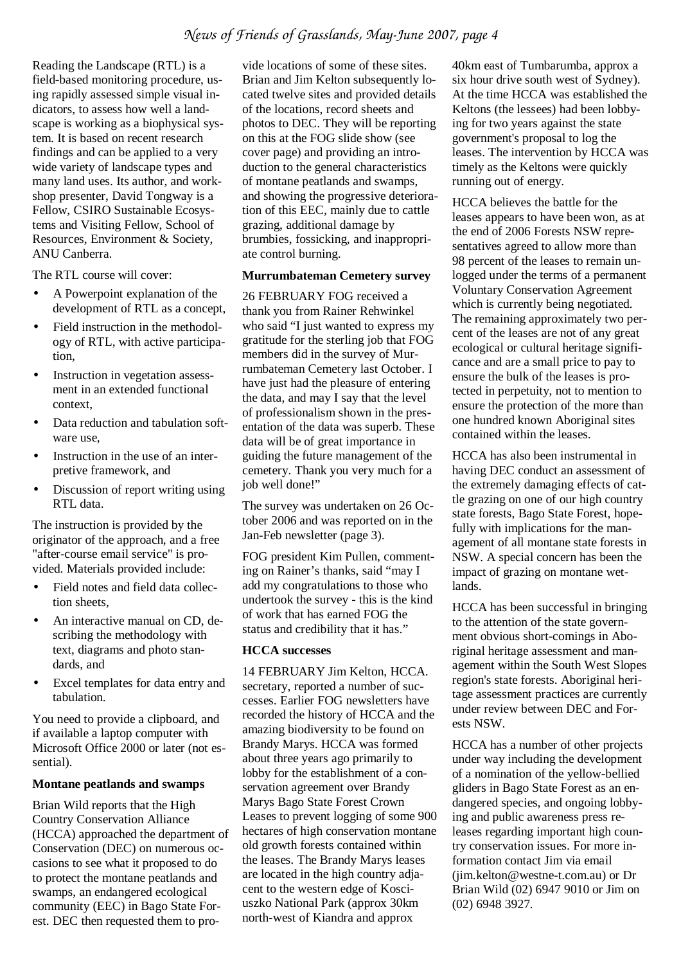#### *News of Friends of Grasslands, May-June 2007, page 4*

Reading the Landscape (RTL) is a field-based monitoring procedure, using rapidly assessed simple visual indicators, to assess how well a landscape is working as a biophysical system. It is based on recent research findings and can be applied to a very wide variety of landscape types and many land uses. Its author, and workshop presenter, David Tongway is a Fellow, CSIRO Sustainable Ecosystems and Visiting Fellow, School of Resources, Environment & Society, ANU Canberra.

The RTL course will cover:

- A Powerpoint explanation of the development of RTL as a concept,
- Field instruction in the methodology of RTL, with active participation,
- Instruction in vegetation assessment in an extended functional context,
- Data reduction and tabulation software use,
- Instruction in the use of an interpretive framework, and
- Discussion of report writing using RTL data.

The instruction is provided by the originator of the approach, and a free "after-course email service" is provided. Materials provided include:

- Field notes and field data collection sheets,
- An interactive manual on CD, describing the methodology with text, diagrams and photo standards, and
- Excel templates for data entry and tabulation.

You need to provide a clipboard, and if available a laptop computer with Microsoft Office 2000 or later (not essential).

#### **Montane peatlands and swamps**

Brian Wild reports that the High Country Conservation Alliance (HCCA) approached the department of Conservation (DEC) on numerous occasions to see what it proposed to do to protect the montane peatlands and swamps, an endangered ecological community (EEC) in Bago State Forest. DEC then requested them to pro-

vide locations of some of these sites. Brian and Jim Kelton subsequently located twelve sites and provided details of the locations, record sheets and photos to DEC. They will be reporting on this at the FOG slide show (see cover page) and providing an introduction to the general characteristics of montane peatlands and swamps, and showing the progressive deterioration of this EEC, mainly due to cattle grazing, additional damage by brumbies, fossicking, and inappropriate control burning.

#### **Murrumbateman Cemetery survey**

26 FEBRUARY FOG received a thank you from Rainer Rehwinkel who said "I just wanted to express my gratitude for the sterling job that FOG members did in the survey of Murrumbateman Cemetery last October. I have just had the pleasure of entering the data, and may I say that the level of professionalism shown in the presentation of the data was superb. These data will be of great importance in guiding the future management of the cemetery. Thank you very much for a job well done!"

The survey was undertaken on 26 October 2006 and was reported on in the Jan-Feb newsletter (page 3).

FOG president Kim Pullen, commenting on Rainer's thanks, said "may I add my congratulations to those who undertook the survey - this is the kind of work that has earned FOG the status and credibility that it has."

#### **HCCA successes**

14 FEBRUARY Jim Kelton, HCCA. secretary, reported a number of successes. Earlier FOG newsletters have recorded the history of HCCA and the amazing biodiversity to be found on Brandy Marys. HCCA was formed about three years ago primarily to lobby for the establishment of a conservation agreement over Brandy Marys Bago State Forest Crown Leases to prevent logging of some 900 hectares of high conservation montane old growth forests contained within the leases. The Brandy Marys leases are located in the high country adjacent to the western edge of Kosciuszko National Park (approx 30km north-west of Kiandra and approx

40km east of Tumbarumba, approx a six hour drive south west of Sydney). At the time HCCA was established the Keltons (the lessees) had been lobbying for two years against the state government's proposal to log the leases. The intervention by HCCA was timely as the Keltons were quickly running out of energy.

HCCA believes the battle for the leases appears to have been won, as at the end of 2006 Forests NSW representatives agreed to allow more than 98 percent of the leases to remain unlogged under the terms of a permanent Voluntary Conservation Agreement which is currently being negotiated. The remaining approximately two percent of the leases are not of any great ecological or cultural heritage significance and are a small price to pay to ensure the bulk of the leases is protected in perpetuity, not to mention to ensure the protection of the more than one hundred known Aboriginal sites contained within the leases.

HCCA has also been instrumental in having DEC conduct an assessment of the extremely damaging effects of cattle grazing on one of our high country state forests, Bago State Forest, hopefully with implications for the management of all montane state forests in NSW. A special concern has been the impact of grazing on montane wetlands.

HCCA has been successful in bringing to the attention of the state government obvious short-comings in Aboriginal heritage assessment and management within the South West Slopes region's state forests. Aboriginal heritage assessment practices are currently under review between DEC and Forests NSW.

HCCA has a number of other projects under way including the development of a nomination of the yellow-bellied gliders in Bago State Forest as an endangered species, and ongoing lobbying and public awareness press releases regarding important high country conservation issues. For more information contact Jim via email (jim.kelton@westne-t.com.au) or Dr Brian Wild (02) 6947 9010 or Jim on (02) 6948 3927.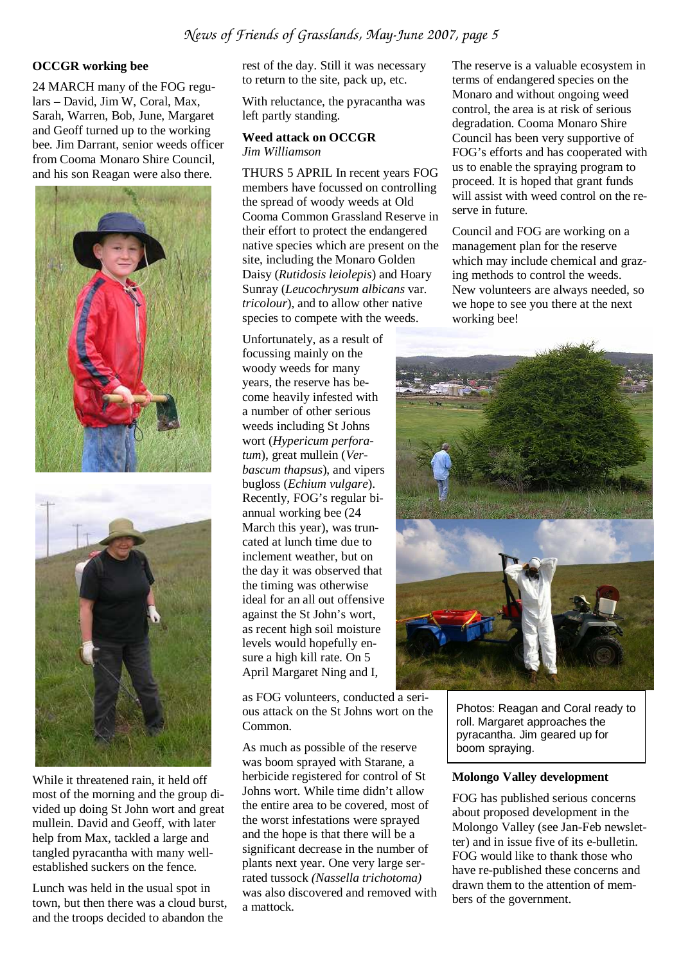#### **OCCGR working bee**

24 MARCH many of the FOG regulars – David, Jim W, Coral, Max, Sarah, Warren, Bob, June, Margaret and Geoff turned up to the working bee. Jim Darrant, senior weeds officer from Cooma Monaro Shire Council, and his son Reagan were also there.





While it threatened rain, it held off most of the morning and the group divided up doing St John wort and great mullein. David and Geoff, with later help from Max, tackled a large and tangled pyracantha with many wellestablished suckers on the fence.

Lunch was held in the usual spot in town, but then there was a cloud burst, and the troops decided to abandon the

rest of the day. Still it was necessary to return to the site, pack up, etc.

With reluctance, the pyracantha was left partly standing.

#### **Weed attack on OCCGR**  *Jim Williamson*

THURS 5 APRIL In recent years FOG members have focussed on controlling the spread of woody weeds at Old Cooma Common Grassland Reserve in their effort to protect the endangered native species which are present on the site, including the Monaro Golden Daisy (*Rutidosis leiolepis*) and Hoary Sunray (*Leucochrysum albicans* var. *tricolour*), and to allow other native species to compete with the weeds.

Unfortunately, as a result of focussing mainly on the woody weeds for many years, the reserve has become heavily infested with a number of other serious weeds including St Johns wort (*Hypericum perforatum*), great mullein (*Verbascum thapsus*), and vipers bugloss (*Echium vulgare*). Recently, FOG's regular biannual working bee (24 March this year), was truncated at lunch time due to inclement weather, but on the day it was observed that the timing was otherwise ideal for an all out offensive against the St John's wort, as recent high soil moisture levels would hopefully ensure a high kill rate. On 5 April Margaret Ning and I,

as FOG volunteers, conducted a serious attack on the St Johns wort on the Common.

As much as possible of the reserve was boom sprayed with Starane, a herbicide registered for control of St Johns wort. While time didn't allow the entire area to be covered, most of the worst infestations were sprayed and the hope is that there will be a significant decrease in the number of plants next year. One very large serrated tussock *(Nassella trichotoma)* was also discovered and removed with a mattock.

The reserve is a valuable ecosystem in terms of endangered species on the Monaro and without ongoing weed control, the area is at risk of serious degradation. Cooma Monaro Shire Council has been very supportive of FOG's efforts and has cooperated with us to enable the spraying program to proceed. It is hoped that grant funds will assist with weed control on the reserve in future.

Council and FOG are working on a management plan for the reserve which may include chemical and grazing methods to control the weeds. New volunteers are always needed, so we hope to see you there at the next working bee!



Photos: Reagan and Coral ready to roll. Margaret approaches the pyracantha. Jim geared up for boom spraying.

#### **Molongo Valley development**

FOG has published serious concerns about proposed development in the Molongo Valley (see Jan-Feb newsletter) and in issue five of its e-bulletin. FOG would like to thank those who have re-published these concerns and drawn them to the attention of members of the government.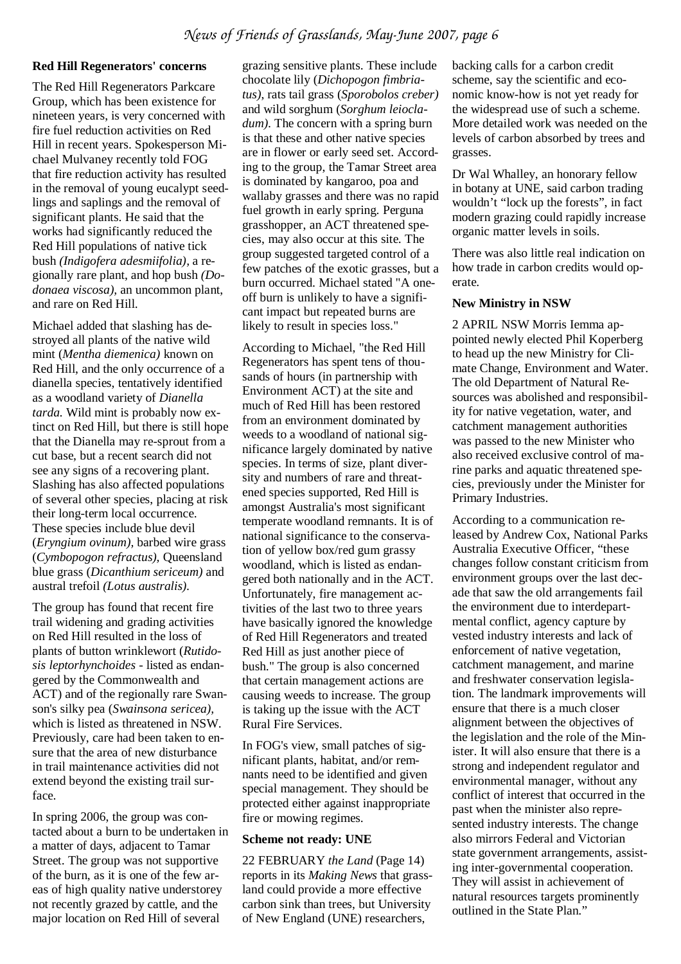#### **Red Hill Regenerators' concerns**

The Red Hill Regenerators Parkcare Group, which has been existence for nineteen years, is very concerned with fire fuel reduction activities on Red Hill in recent years. Spokesperson Michael Mulvaney recently told FOG that fire reduction activity has resulted in the removal of young eucalypt seedlings and saplings and the removal of significant plants. He said that the works had significantly reduced the Red Hill populations of native tick bush *(Indigofera adesmiifolia),* a regionally rare plant, and hop bush *(Dodonaea viscosa),* an uncommon plant, and rare on Red Hill.

Michael added that slashing has destroyed all plants of the native wild mint (*Mentha diemenica)* known on Red Hill, and the only occurrence of a dianella species, tentatively identified as a woodland variety of *Dianella tarda.* Wild mint is probably now extinct on Red Hill, but there is still hope that the Dianella may re-sprout from a cut base, but a recent search did not see any signs of a recovering plant. Slashing has also affected populations of several other species, placing at risk their long-term local occurrence. These species include blue devil (*Eryngium ovinum),* barbed wire grass (*Cymbopogon refractus),* Queensland blue grass (*Dicanthium sericeum)* and austral trefoil *(Lotus australis).*

The group has found that recent fire trail widening and grading activities on Red Hill resulted in the loss of plants of button wrinklewort (*Rutidosis leptorhynchoides -* listed as endangered by the Commonwealth and ACT) and of the regionally rare Swanson's silky pea (*Swainsona sericea),*  which is listed as threatened in NSW. Previously, care had been taken to ensure that the area of new disturbance in trail maintenance activities did not extend beyond the existing trail surface.

In spring 2006, the group was contacted about a burn to be undertaken in a matter of days, adjacent to Tamar Street. The group was not supportive of the burn, as it is one of the few areas of high quality native understorey not recently grazed by cattle, and the major location on Red Hill of several

grazing sensitive plants. These include chocolate lily (*Dichopogon fimbriatus)*, rats tail grass (*Sporobolos creber)*  and wild sorghum (*Sorghum leiocladum*). The concern with a spring burn is that these and other native species are in flower or early seed set. According to the group, the Tamar Street area is dominated by kangaroo, poa and wallaby grasses and there was no rapid fuel growth in early spring. Perguna grasshopper, an ACT threatened species, may also occur at this site. The group suggested targeted control of a few patches of the exotic grasses, but a burn occurred. Michael stated "A oneoff burn is unlikely to have a significant impact but repeated burns are likely to result in species loss."

According to Michael, "the Red Hill Regenerators has spent tens of thousands of hours (in partnership with Environment ACT) at the site and much of Red Hill has been restored from an environment dominated by weeds to a woodland of national significance largely dominated by native species. In terms of size, plant diversity and numbers of rare and threatened species supported, Red Hill is amongst Australia's most significant temperate woodland remnants. It is of national significance to the conservation of yellow box/red gum grassy woodland, which is listed as endangered both nationally and in the ACT. Unfortunately, fire management activities of the last two to three years have basically ignored the knowledge of Red Hill Regenerators and treated Red Hill as just another piece of bush." The group is also concerned that certain management actions are causing weeds to increase. The group is taking up the issue with the ACT Rural Fire Services.

In FOG's view, small patches of significant plants, habitat, and/or remnants need to be identified and given special management. They should be protected either against inappropriate fire or mowing regimes.

#### **Scheme not ready: UNE**

22 FEBRUARY *the Land* (Page 14) reports in its *Making News* that grassland could provide a more effective carbon sink than trees, but University of New England (UNE) researchers,

backing calls for a carbon credit scheme, say the scientific and economic know-how is not yet ready for the widespread use of such a scheme. More detailed work was needed on the levels of carbon absorbed by trees and grasses.

Dr Wal Whalley, an honorary fellow in botany at UNE, said carbon trading wouldn't "lock up the forests", in fact modern grazing could rapidly increase organic matter levels in soils.

There was also little real indication on how trade in carbon credits would operate.

#### **New Ministry in NSW**

2 APRIL NSW Morris Iemma appointed newly elected Phil Koperberg to head up the new Ministry for Climate Change, Environment and Water. The old Department of Natural Resources was abolished and responsibility for native vegetation, water, and catchment management authorities was passed to the new Minister who also received exclusive control of marine parks and aquatic threatened species, previously under the Minister for Primary Industries.

According to a communication released by Andrew Cox, National Parks Australia Executive Officer, "these changes follow constant criticism from environment groups over the last decade that saw the old arrangements fail the environment due to interdepartmental conflict, agency capture by vested industry interests and lack of enforcement of native vegetation, catchment management, and marine and freshwater conservation legislation. The landmark improvements will ensure that there is a much closer alignment between the objectives of the legislation and the role of the Minister. It will also ensure that there is a strong and independent regulator and environmental manager, without any conflict of interest that occurred in the past when the minister also represented industry interests. The change also mirrors Federal and Victorian state government arrangements, assisting inter-governmental cooperation. They will assist in achievement of natural resources targets prominently outlined in the State Plan."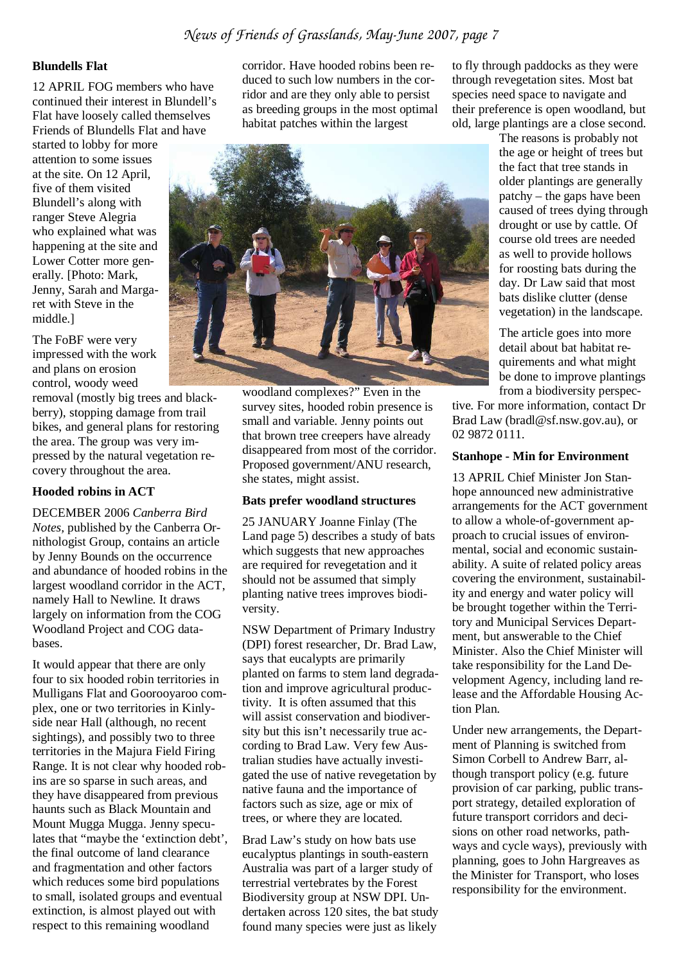#### **Blundells Flat**

12 APRIL FOG members who have continued their interest in Blundell's Flat have loosely called themselves Friends of Blundells Flat and have

started to lobby for more attention to some issues at the site. On 12 April, five of them visited Blundell's along with ranger Steve Alegria who explained what was happening at the site and Lower Cotter more generally. [Photo: Mark, Jenny, Sarah and Margaret with Steve in the middle.]

The FoBF were very impressed with the work and plans on erosion control, woody weed

removal (mostly big trees and blackberry), stopping damage from trail bikes, and general plans for restoring the area. The group was very impressed by the natural vegetation recovery throughout the area.

#### **Hooded robins in ACT**

DECEMBER 2006 *Canberra Bird Notes,* published by the Canberra Ornithologist Group, contains an article by Jenny Bounds on the occurrence and abundance of hooded robins in the largest woodland corridor in the ACT, namely Hall to Newline. It draws largely on information from the COG Woodland Project and COG databases.

It would appear that there are only four to six hooded robin territories in Mulligans Flat and Goorooyaroo complex, one or two territories in Kinlyside near Hall (although, no recent sightings), and possibly two to three territories in the Majura Field Firing Range. It is not clear why hooded robins are so sparse in such areas, and they have disappeared from previous haunts such as Black Mountain and Mount Mugga Mugga. Jenny speculates that "maybe the 'extinction debt', the final outcome of land clearance and fragmentation and other factors which reduces some bird populations to small, isolated groups and eventual extinction, is almost played out with respect to this remaining woodland

corridor. Have hooded robins been reduced to such low numbers in the corridor and are they only able to persist as breeding groups in the most optimal habitat patches within the largest



woodland complexes?" Even in the survey sites, hooded robin presence is small and variable. Jenny points out that brown tree creepers have already disappeared from most of the corridor. Proposed government/ANU research, she states, might assist.

#### **Bats prefer woodland structures**

25 JANUARY Joanne Finlay (The Land page 5) describes a study of bats which suggests that new approaches are required for revegetation and it should not be assumed that simply planting native trees improves biodiversity.

NSW Department of Primary Industry (DPI) forest researcher, Dr. Brad Law, says that eucalypts are primarily planted on farms to stem land degradation and improve agricultural productivity. It is often assumed that this will assist conservation and biodiversity but this isn't necessarily true according to Brad Law. Very few Australian studies have actually investigated the use of native revegetation by native fauna and the importance of factors such as size, age or mix of trees, or where they are located.

Brad Law's study on how bats use eucalyptus plantings in south-eastern Australia was part of a larger study of terrestrial vertebrates by the Forest Biodiversity group at NSW DPI. Undertaken across 120 sites, the bat study found many species were just as likely

to fly through paddocks as they were through revegetation sites. Most bat species need space to navigate and their preference is open woodland, but old, large plantings are a close second.

The reasons is probably not the age or height of trees but the fact that tree stands in older plantings are generally patchy – the gaps have been caused of trees dying through drought or use by cattle. Of course old trees are needed as well to provide hollows for roosting bats during the day. Dr Law said that most bats dislike clutter (dense vegetation) in the landscape.

The article goes into more detail about bat habitat requirements and what might be done to improve plantings from a biodiversity perspec-

tive. For more information, contact Dr Brad Law (bradl@sf.nsw.gov.au), or 02 9872 0111.

#### **Stanhope - Min for Environment**

13 APRIL Chief Minister Jon Stanhope announced new administrative arrangements for the ACT government to allow a whole-of-government approach to crucial issues of environmental, social and economic sustainability. A suite of related policy areas covering the environment, sustainability and energy and water policy will be brought together within the Territory and Municipal Services Department, but answerable to the Chief Minister. Also the Chief Minister will take responsibility for the Land Development Agency, including land release and the Affordable Housing Action Plan.

Under new arrangements, the Department of Planning is switched from Simon Corbell to Andrew Barr, although transport policy (e.g. future provision of car parking, public transport strategy, detailed exploration of future transport corridors and decisions on other road networks, pathways and cycle ways), previously with planning, goes to John Hargreaves as the Minister for Transport, who loses responsibility for the environment.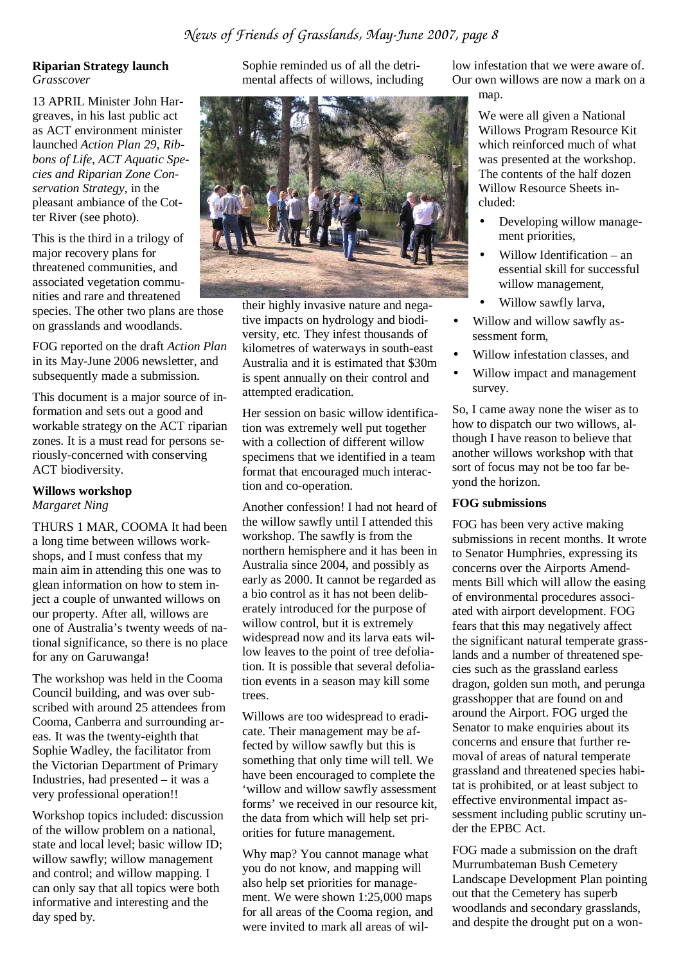#### **Riparian Strategy launch**  *Grasscover*

13 APRIL Minister John Hargreaves, in his last public act as ACT environment minister launched *Action Plan 29, Ribbons of Life, ACT Aquatic Species and Riparian Zone Conservation Strategy,* in the pleasant ambiance of the Cotter River (see photo).

This is the third in a trilogy of major recovery plans for threatened communities, and associated vegetation communities and rare and threatened

species. The other two plans are those on grasslands and woodlands.

FOG reported on the draft *Action Plan* in its May-June 2006 newsletter, and subsequently made a submission.

This document is a major source of information and sets out a good and workable strategy on the ACT riparian zones. It is a must read for persons seriously-concerned with conserving ACT biodiversity.

## **Willows workshop**

*Margaret Ning* 

THURS 1 MAR, COOMA It had been a long time between willows workshops, and I must confess that my main aim in attending this one was to glean information on how to stem inject a couple of unwanted willows on our property. After all, willows are one of Australia's twenty weeds of national significance, so there is no place for any on Garuwanga!

The workshop was held in the Cooma Council building, and was over subscribed with around 25 attendees from Cooma, Canberra and surrounding areas. It was the twenty-eighth that Sophie Wadley, the facilitator from the Victorian Department of Primary Industries, had presented – it was a very professional operation!!

Workshop topics included: discussion of the willow problem on a national, state and local level; basic willow ID; willow sawfly; willow management and control; and willow mapping. I can only say that all topics were both informative and interesting and the day sped by.

Sophie reminded us of all the detrimental affects of willows, including



their highly invasive nature and negative impacts on hydrology and biodiversity, etc. They infest thousands of kilometres of waterways in south-east Australia and it is estimated that \$30m is spent annually on their control and attempted eradication.

Her session on basic willow identification was extremely well put together with a collection of different willow specimens that we identified in a team format that encouraged much interaction and co-operation.

Another confession! I had not heard of the willow sawfly until I attended this workshop. The sawfly is from the northern hemisphere and it has been in Australia since 2004, and possibly as early as 2000. It cannot be regarded as a bio control as it has not been deliberately introduced for the purpose of willow control, but it is extremely widespread now and its larva eats willow leaves to the point of tree defoliation. It is possible that several defoliation events in a season may kill some trees.

Willows are too widespread to eradicate. Their management may be affected by willow sawfly but this is something that only time will tell. We have been encouraged to complete the 'willow and willow sawfly assessment forms' we received in our resource kit, the data from which will help set priorities for future management.

Why map? You cannot manage what you do not know, and mapping will also help set priorities for management. We were shown 1:25,000 maps for all areas of the Cooma region, and were invited to mark all areas of willow infestation that we were aware of. Our own willows are now a mark on a map.

> We were all given a National Willows Program Resource Kit which reinforced much of what was presented at the workshop. The contents of the half dozen Willow Resource Sheets included:

- Developing willow management priorities,
- Willow Identification an essential skill for successful willow management,
- Willow sawfly larva,
- Willow and willow sawfly assessment form,
- Willow infestation classes, and
- Willow impact and management survey.

So, I came away none the wiser as to how to dispatch our two willows, although I have reason to believe that another willows workshop with that sort of focus may not be too far beyond the horizon.

#### **FOG submissions**

FOG has been very active making submissions in recent months. It wrote to Senator Humphries, expressing its concerns over the Airports Amendments Bill which will allow the easing of environmental procedures associated with airport development. FOG fears that this may negatively affect the significant natural temperate grasslands and a number of threatened species such as the grassland earless dragon, golden sun moth, and perunga grasshopper that are found on and around the Airport. FOG urged the Senator to make enquiries about its concerns and ensure that further removal of areas of natural temperate grassland and threatened species habitat is prohibited, or at least subject to effective environmental impact assessment including public scrutiny under the EPBC Act.

FOG made a submission on the draft Murrumbateman Bush Cemetery Landscape Development Plan pointing out that the Cemetery has superb woodlands and secondary grasslands, and despite the drought put on a won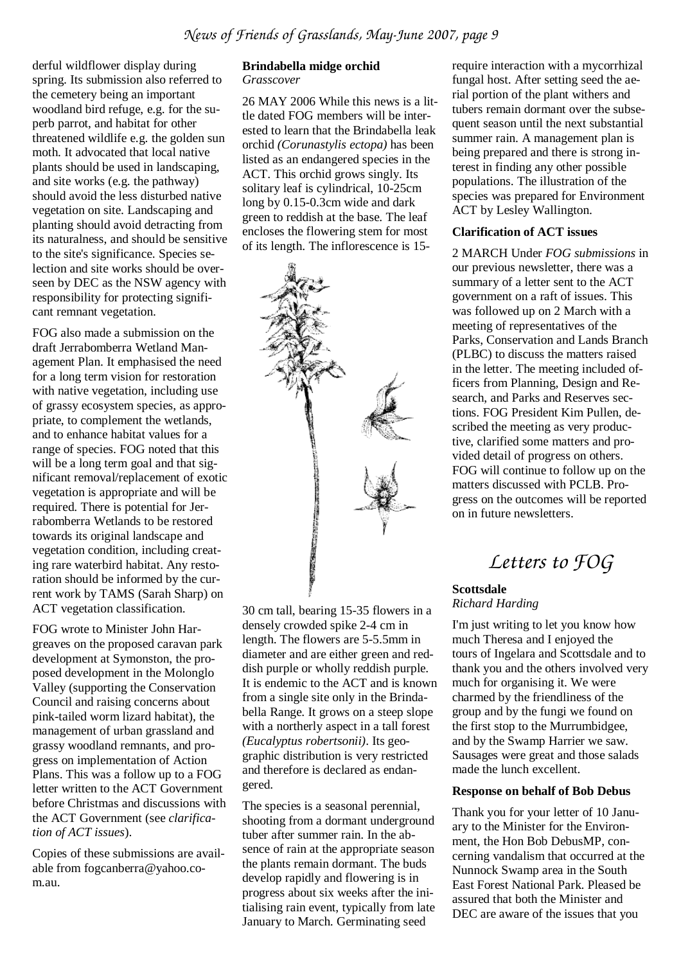derful wildflower display during spring. Its submission also referred to the cemetery being an important woodland bird refuge, e.g. for the superb parrot, and habitat for other threatened wildlife e.g. the golden sun moth. It advocated that local native plants should be used in landscaping, and site works (e.g. the pathway) should avoid the less disturbed native vegetation on site. Landscaping and planting should avoid detracting from its naturalness, and should be sensitive to the site's significance. Species selection and site works should be overseen by DEC as the NSW agency with responsibility for protecting significant remnant vegetation.

FOG also made a submission on the draft Jerrabomberra Wetland Management Plan. It emphasised the need for a long term vision for restoration with native vegetation, including use of grassy ecosystem species, as appropriate, to complement the wetlands, and to enhance habitat values for a range of species. FOG noted that this will be a long term goal and that significant removal/replacement of exotic vegetation is appropriate and will be required. There is potential for Jerrabomberra Wetlands to be restored towards its original landscape and vegetation condition, including creating rare waterbird habitat. Any restoration should be informed by the current work by TAMS (Sarah Sharp) on ACT vegetation classification.

FOG wrote to Minister John Hargreaves on the proposed caravan park development at Symonston, the proposed development in the Molonglo Valley (supporting the Conservation Council and raising concerns about pink-tailed worm lizard habitat), the management of urban grassland and grassy woodland remnants, and progress on implementation of Action Plans. This was a follow up to a FOG letter written to the ACT Government before Christmas and discussions with the ACT Government (see *clarification of ACT issues*).

Copies of these submissions are available from fogcanberra@yahoo.com.au.

#### **Brindabella midge orchid**  *Grasscover*

26 MAY 2006 While this news is a little dated FOG members will be interested to learn that the Brindabella leak orchid *(Corunastylis ectopa)* has been listed as an endangered species in the ACT. This orchid grows singly. Its solitary leaf is cylindrical, 10-25cm long by 0.15-0.3cm wide and dark green to reddish at the base. The leaf encloses the flowering stem for most of its length. The inflorescence is 15-



30 cm tall, bearing 15-35 flowers in a densely crowded spike 2-4 cm in length. The flowers are 5-5.5mm in diameter and are either green and reddish purple or wholly reddish purple. It is endemic to the ACT and is known from a single site only in the Brindabella Range. It grows on a steep slope with a northerly aspect in a tall forest *(Eucalyptus robertsonii)*. Its geographic distribution is very restricted and therefore is declared as endangered.

The species is a seasonal perennial, shooting from a dormant underground tuber after summer rain. In the absence of rain at the appropriate season the plants remain dormant. The buds develop rapidly and flowering is in progress about six weeks after the initialising rain event, typically from late January to March. Germinating seed

require interaction with a mycorrhizal fungal host. After setting seed the aerial portion of the plant withers and tubers remain dormant over the subsequent season until the next substantial summer rain. A management plan is being prepared and there is strong interest in finding any other possible populations. The illustration of the species was prepared for Environment ACT by Lesley Wallington.

#### **Clarification of ACT issues**

2 MARCH Under *FOG submissions* in our previous newsletter, there was a summary of a letter sent to the ACT government on a raft of issues. This was followed up on 2 March with a meeting of representatives of the Parks, Conservation and Lands Branch (PLBC) to discuss the matters raised in the letter. The meeting included officers from Planning, Design and Research, and Parks and Reserves sections. FOG President Kim Pullen, described the meeting as very productive, clarified some matters and provided detail of progress on others. FOG will continue to follow up on the matters discussed with PCLB. Progress on the outcomes will be reported on in future newsletters.

*Letters to FOG* 

#### **Scottsdale**  *Richard Harding*

I'm just writing to let you know how much Theresa and I enjoyed the tours of Ingelara and Scottsdale and to thank you and the others involved very much for organising it. We were charmed by the friendliness of the group and by the fungi we found on the first stop to the Murrumbidgee, and by the Swamp Harrier we saw. Sausages were great and those salads made the lunch excellent.

#### **Response on behalf of Bob Debus**

Thank you for your letter of 10 January to the Minister for the Environment, the Hon Bob DebusMP, concerning vandalism that occurred at the Nunnock Swamp area in the South East Forest National Park. Pleased be assured that both the Minister and DEC are aware of the issues that you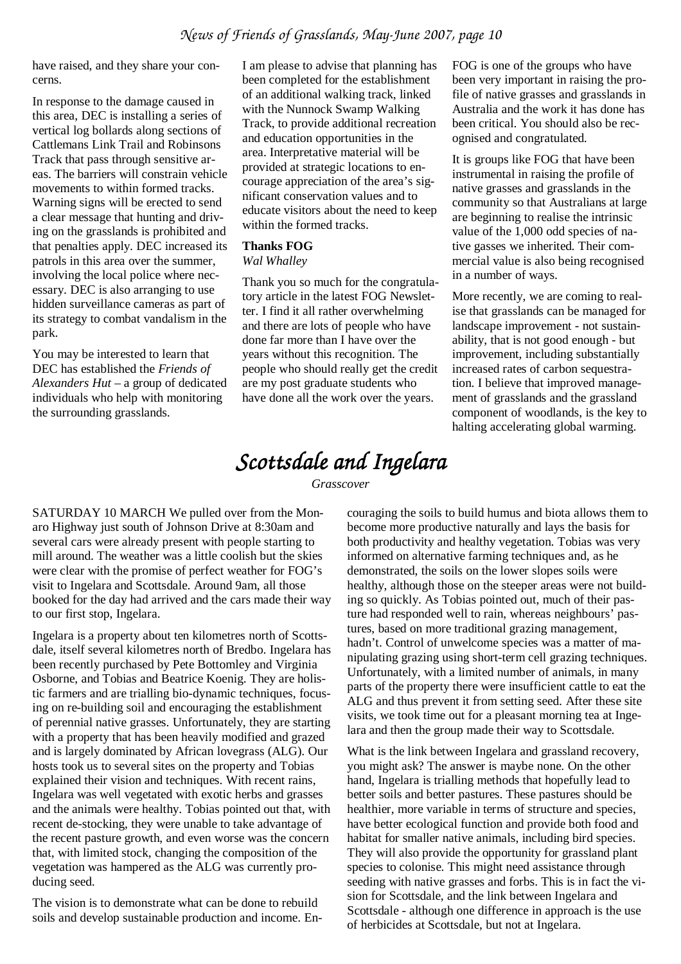have raised, and they share your concerns.

In response to the damage caused in this area, DEC is installing a series of vertical log bollards along sections of Cattlemans Link Trail and Robinsons Track that pass through sensitive areas. The barriers will constrain vehicle movements to within formed tracks. Warning signs will be erected to send a clear message that hunting and driving on the grasslands is prohibited and that penalties apply. DEC increased its patrols in this area over the summer, involving the local police where necessary. DEC is also arranging to use hidden surveillance cameras as part of its strategy to combat vandalism in the park.

You may be interested to learn that DEC has established the *Friends of Alexanders Hut –* a group of dedicated individuals who help with monitoring the surrounding grasslands.

I am please to advise that planning has been completed for the establishment of an additional walking track, linked with the Nunnock Swamp Walking Track, to provide additional recreation and education opportunities in the area. Interpretative material will be provided at strategic locations to encourage appreciation of the area's significant conservation values and to educate visitors about the need to keep within the formed tracks.

#### **Thanks FOG**

#### *Wal Whalley*

Thank you so much for the congratulatory article in the latest FOG Newsletter. I find it all rather overwhelming and there are lots of people who have done far more than I have over the years without this recognition. The people who should really get the credit are my post graduate students who have done all the work over the years.

FOG is one of the groups who have been very important in raising the profile of native grasses and grasslands in Australia and the work it has done has been critical. You should also be recognised and congratulated.

It is groups like FOG that have been instrumental in raising the profile of native grasses and grasslands in the community so that Australians at large are beginning to realise the intrinsic value of the 1,000 odd species of native gasses we inherited. Their commercial value is also being recognised in a number of ways.

More recently, we are coming to realise that grasslands can be managed for landscape improvement - not sustainability, that is not good enough - but improvement, including substantially increased rates of carbon sequestration. I believe that improved management of grasslands and the grassland component of woodlands, is the key to halting accelerating global warming.

# *Scottsdale and Ingelara*

*Grasscover* 

SATURDAY 10 MARCH We pulled over from the Monaro Highway just south of Johnson Drive at 8:30am and several cars were already present with people starting to mill around. The weather was a little coolish but the skies were clear with the promise of perfect weather for FOG's visit to Ingelara and Scottsdale. Around 9am, all those booked for the day had arrived and the cars made their way to our first stop, Ingelara.

Ingelara is a property about ten kilometres north of Scottsdale, itself several kilometres north of Bredbo. Ingelara has been recently purchased by Pete Bottomley and Virginia Osborne, and Tobias and Beatrice Koenig. They are holistic farmers and are trialling bio-dynamic techniques, focusing on re-building soil and encouraging the establishment of perennial native grasses. Unfortunately, they are starting with a property that has been heavily modified and grazed and is largely dominated by African lovegrass (ALG). Our hosts took us to several sites on the property and Tobias explained their vision and techniques. With recent rains, Ingelara was well vegetated with exotic herbs and grasses and the animals were healthy. Tobias pointed out that, with recent de-stocking, they were unable to take advantage of the recent pasture growth, and even worse was the concern that, with limited stock, changing the composition of the vegetation was hampered as the ALG was currently producing seed.

The vision is to demonstrate what can be done to rebuild soils and develop sustainable production and income. En-

couraging the soils to build humus and biota allows them to become more productive naturally and lays the basis for both productivity and healthy vegetation. Tobias was very informed on alternative farming techniques and, as he demonstrated, the soils on the lower slopes soils were healthy, although those on the steeper areas were not building so quickly. As Tobias pointed out, much of their pasture had responded well to rain, whereas neighbours' pastures, based on more traditional grazing management, hadn't. Control of unwelcome species was a matter of manipulating grazing using short-term cell grazing techniques. Unfortunately, with a limited number of animals, in many parts of the property there were insufficient cattle to eat the ALG and thus prevent it from setting seed. After these site visits, we took time out for a pleasant morning tea at Ingelara and then the group made their way to Scottsdale.

What is the link between Ingelara and grassland recovery, you might ask? The answer is maybe none. On the other hand, Ingelara is trialling methods that hopefully lead to better soils and better pastures. These pastures should be healthier, more variable in terms of structure and species, have better ecological function and provide both food and habitat for smaller native animals, including bird species. They will also provide the opportunity for grassland plant species to colonise. This might need assistance through seeding with native grasses and forbs. This is in fact the vision for Scottsdale, and the link between Ingelara and Scottsdale - although one difference in approach is the use of herbicides at Scottsdale, but not at Ingelara.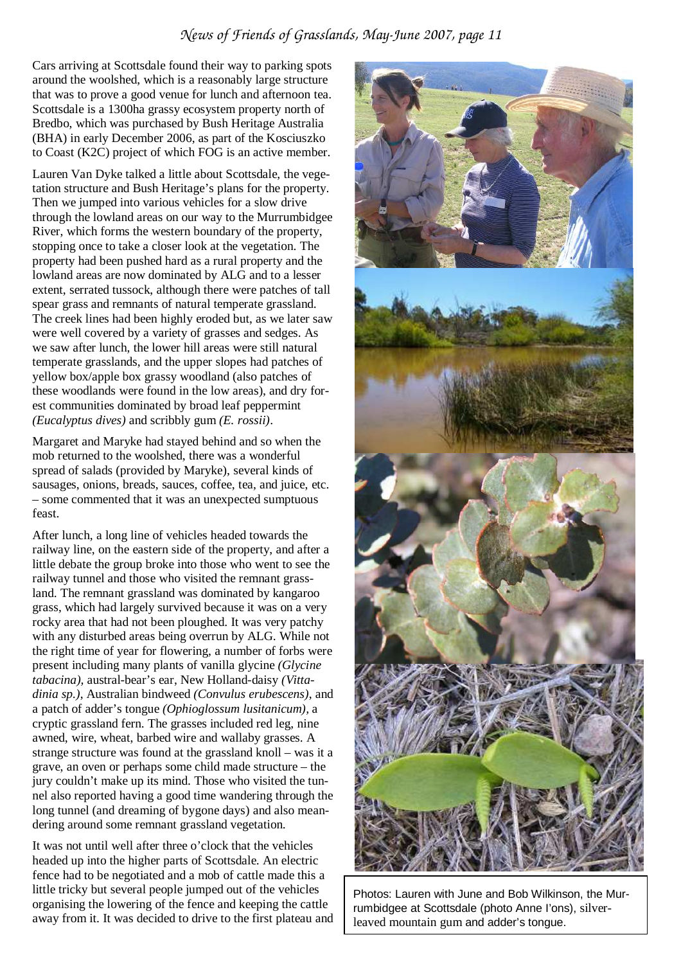#### *News of Friends of Grasslands, May-June 2007, page 11*

Cars arriving at Scottsdale found their way to parking spots around the woolshed, which is a reasonably large structure that was to prove a good venue for lunch and afternoon tea. Scottsdale is a 1300ha grassy ecosystem property north of Bredbo, which was purchased by Bush Heritage Australia (BHA) in early December 2006, as part of the Kosciuszko to Coast (K2C) project of which FOG is an active member.

Lauren Van Dyke talked a little about Scottsdale, the vegetation structure and Bush Heritage's plans for the property. Then we jumped into various vehicles for a slow drive through the lowland areas on our way to the Murrumbidgee River, which forms the western boundary of the property, stopping once to take a closer look at the vegetation. The property had been pushed hard as a rural property and the lowland areas are now dominated by ALG and to a lesser extent, serrated tussock, although there were patches of tall spear grass and remnants of natural temperate grassland. The creek lines had been highly eroded but, as we later saw were well covered by a variety of grasses and sedges. As we saw after lunch, the lower hill areas were still natural temperate grasslands, and the upper slopes had patches of yellow box/apple box grassy woodland (also patches of these woodlands were found in the low areas), and dry forest communities dominated by broad leaf peppermint *(Eucalyptus dives)* and scribbly gum *(E. rossii)*.

Margaret and Maryke had stayed behind and so when the mob returned to the woolshed, there was a wonderful spread of salads (provided by Maryke), several kinds of sausages, onions, breads, sauces, coffee, tea, and juice, etc. – some commented that it was an unexpected sumptuous feast.

After lunch, a long line of vehicles headed towards the railway line, on the eastern side of the property, and after a little debate the group broke into those who went to see the railway tunnel and those who visited the remnant grassland. The remnant grassland was dominated by kangaroo grass, which had largely survived because it was on a very rocky area that had not been ploughed. It was very patchy with any disturbed areas being overrun by ALG. While not the right time of year for flowering, a number of forbs were present including many plants of vanilla glycine *(Glycine tabacina),* austral-bear's ear, New Holland-daisy *(Vittadinia sp.)*, Australian bindweed *(Convulus erubescens)*, and a patch of adder's tongue *(Ophioglossum lusitanicum),* a cryptic grassland fern. The grasses included red leg, nine awned, wire, wheat, barbed wire and wallaby grasses. A strange structure was found at the grassland knoll – was it a grave, an oven or perhaps some child made structure – the jury couldn't make up its mind. Those who visited the tunnel also reported having a good time wandering through the long tunnel (and dreaming of bygone days) and also meandering around some remnant grassland vegetation.

It was not until well after three o'clock that the vehicles headed up into the higher parts of Scottsdale. An electric fence had to be negotiated and a mob of cattle made this a little tricky but several people jumped out of the vehicles organising the lowering of the fence and keeping the cattle away from it. It was decided to drive to the first plateau and



Photos: Lauren with June and Bob Wilkinson, the Murrumbidgee at Scottsdale (photo Anne I'ons), silverleaved mountain gum and adder's tongue.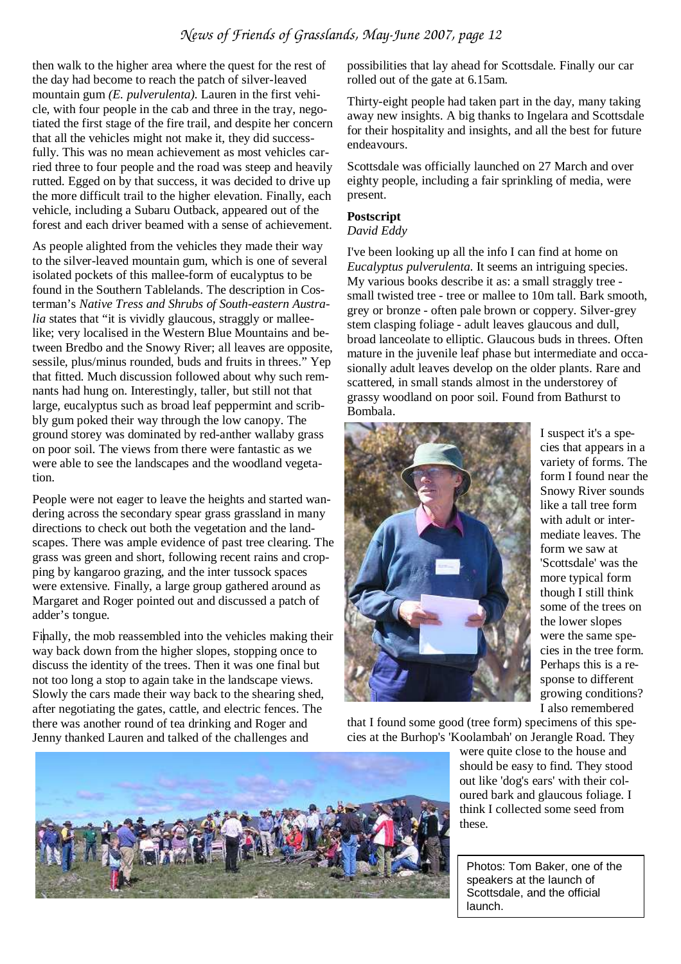then walk to the higher area where the quest for the rest of the day had become to reach the patch of silver-leaved mountain gum *(E. pulverulenta).* Lauren in the first vehicle, with four people in the cab and three in the tray, negotiated the first stage of the fire trail, and despite her concern that all the vehicles might not make it, they did successfully. This was no mean achievement as most vehicles carried three to four people and the road was steep and heavily rutted. Egged on by that success, it was decided to drive up the more difficult trail to the higher elevation. Finally, each vehicle, including a Subaru Outback, appeared out of the forest and each driver beamed with a sense of achievement.

As people alighted from the vehicles they made their way to the silver-leaved mountain gum, which is one of several isolated pockets of this mallee-form of eucalyptus to be found in the Southern Tablelands. The description in Costerman's *Native Tress and Shrubs of South-eastern Australia* states that "it is vividly glaucous, straggly or malleelike; very localised in the Western Blue Mountains and between Bredbo and the Snowy River; all leaves are opposite, sessile, plus/minus rounded, buds and fruits in threes." Yep that fitted. Much discussion followed about why such remnants had hung on. Interestingly, taller, but still not that large, eucalyptus such as broad leaf peppermint and scribbly gum poked their way through the low canopy. The ground storey was dominated by red-anther wallaby grass on poor soil. The views from there were fantastic as we were able to see the landscapes and the woodland vegetation.

People were not eager to leave the heights and started wandering across the secondary spear grass grassland in many directions to check out both the vegetation and the landscapes. There was ample evidence of past tree clearing. The grass was green and short, following recent rains and cropping by kangaroo grazing, and the inter tussock spaces were extensive. Finally, a large group gathered around as Margaret and Roger pointed out and discussed a patch of adder's tongue.

Finally, the mob reassembled into the vehicles making their way back down from the higher slopes, stopping once to discuss the identity of the trees. Then it was one final but not too long a stop to again take in the landscape views. Slowly the cars made their way back to the shearing shed, after negotiating the gates, cattle, and electric fences. The there was another round of tea drinking and Roger and Jenny thanked Lauren and talked of the challenges and

possibilities that lay ahead for Scottsdale. Finally our car rolled out of the gate at 6.15am.

Thirty-eight people had taken part in the day, many taking away new insights. A big thanks to Ingelara and Scottsdale for their hospitality and insights, and all the best for future endeavours.

Scottsdale was officially launched on 27 March and over eighty people, including a fair sprinkling of media, were present.

#### **Postscript**

*David Eddy* 

I've been looking up all the info I can find at home on *Eucalyptus pulverulenta*. It seems an intriguing species. My various books describe it as: a small straggly tree small twisted tree - tree or mallee to 10m tall. Bark smooth, grey or bronze - often pale brown or coppery. Silver-grey stem clasping foliage - adult leaves glaucous and dull, broad lanceolate to elliptic. Glaucous buds in threes. Often mature in the juvenile leaf phase but intermediate and occasionally adult leaves develop on the older plants. Rare and scattered, in small stands almost in the understorey of grassy woodland on poor soil. Found from Bathurst to Bombala.



I suspect it's a species that appears in a variety of forms. The form I found near the Snowy River sounds like a tall tree form with adult or intermediate leaves. The form we saw at 'Scottsdale' was the more typical form though I still think some of the trees on the lower slopes were the same species in the tree form. Perhaps this is a response to different growing conditions? I also remembered

that I found some good (tree form) specimens of this species at the Burhop's 'Koolambah' on Jerangle Road. They

> were quite close to the house and should be easy to find. They stood out like 'dog's ears' with their coloured bark and glaucous foliage. I think I collected some seed from these.

Photos: Tom Baker, one of the speakers at the launch of Scottsdale, and the official launch.

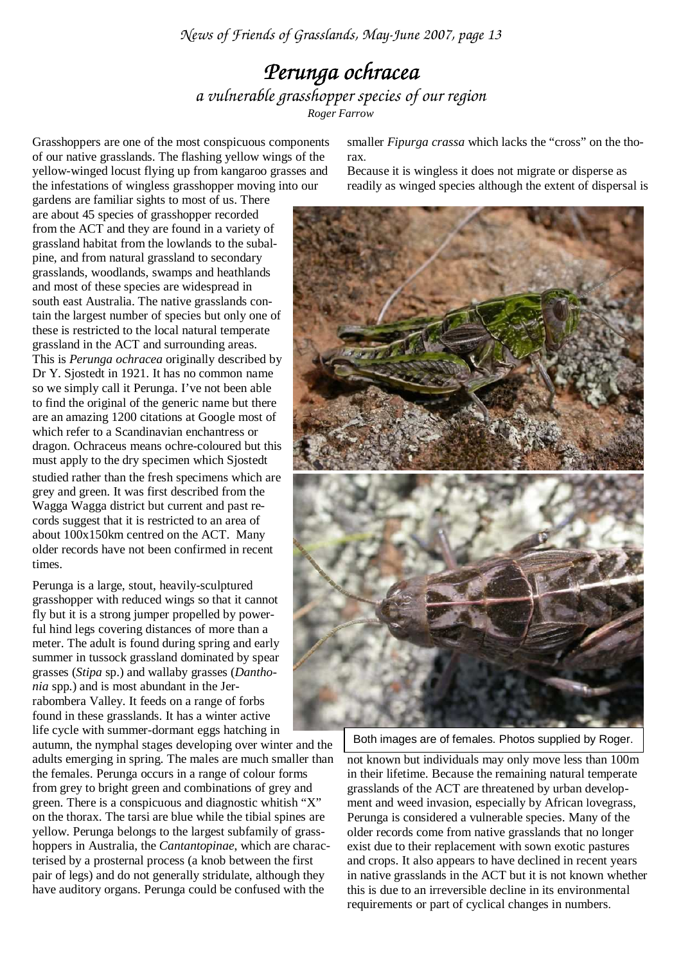*News of Friends of Grasslands, May-June 2007, page 13* 

# *Perunga ochracea Perunga ochracea a vulnerable grasshopper species of our region Roger Farrow*

Grasshoppers are one of the most conspicuous components of our native grasslands. The flashing yellow wings of the yellow-winged locust flying up from kangaroo grasses and the infestations of wingless grasshopper moving into our

gardens are familiar sights to most of us. There are about 45 species of grasshopper recorded from the ACT and they are found in a variety of grassland habitat from the lowlands to the subalpine, and from natural grassland to secondary grasslands, woodlands, swamps and heathlands and most of these species are widespread in south east Australia. The native grasslands contain the largest number of species but only one of these is restricted to the local natural temperate grassland in the ACT and surrounding areas. This is *Perunga ochracea* originally described by Dr Y. Sjostedt in 1921. It has no common name so we simply call it Perunga. I've not been able to find the original of the generic name but there are an amazing 1200 citations at Google most of which refer to a Scandinavian enchantress or dragon. Ochraceus means ochre-coloured but this must apply to the dry specimen which Sjostedt studied rather than the fresh specimens which are grey and green. It was first described from the Wagga Wagga district but current and past records suggest that it is restricted to an area of about 100x150km centred on the ACT. Many older records have not been confirmed in recent times.

Perunga is a large, stout, heavily-sculptured grasshopper with reduced wings so that it cannot fly but it is a strong jumper propelled by powerful hind legs covering distances of more than a meter. The adult is found during spring and early summer in tussock grassland dominated by spear grasses (*Stipa* sp.) and wallaby grasses (*Danthonia* spp.) and is most abundant in the Jerrabombera Valley. It feeds on a range of forbs found in these grasslands. It has a winter active life cycle with summer-dormant eggs hatching in

autumn, the nymphal stages developing over winter and the adults emerging in spring. The males are much smaller than the females. Perunga occurs in a range of colour forms from grey to bright green and combinations of grey and green. There is a conspicuous and diagnostic whitish "X" on the thorax. The tarsi are blue while the tibial spines are yellow. Perunga belongs to the largest subfamily of grasshoppers in Australia, the *Cantantopinae*, which are characterised by a prosternal process (a knob between the first pair of legs) and do not generally stridulate, although they have auditory organs. Perunga could be confused with the

smaller *Fipurga crassa* which lacks the "cross" on the thorax.

Because it is wingless it does not migrate or disperse as readily as winged species although the extent of dispersal is



Both images are of females. Photos supplied by Roger.

not known but individuals may only move less than 100m in their lifetime. Because the remaining natural temperate grasslands of the ACT are threatened by urban development and weed invasion, especially by African lovegrass, Perunga is considered a vulnerable species. Many of the older records come from native grasslands that no longer exist due to their replacement with sown exotic pastures and crops. It also appears to have declined in recent years in native grasslands in the ACT but it is not known whether this is due to an irreversible decline in its environmental requirements or part of cyclical changes in numbers.